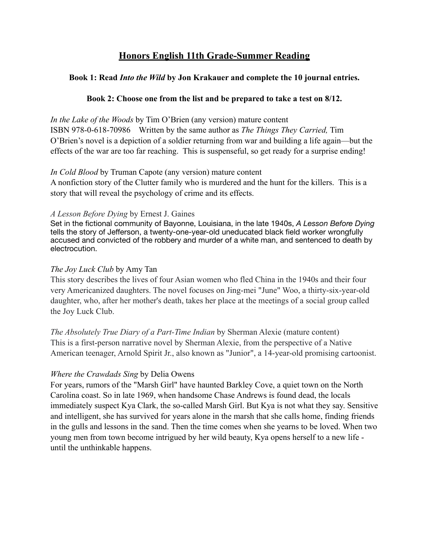# **Honors English 11th Grade-Summer Reading**

#### **Book 1: Read** *Into the Wild* **by Jon Krakauer and complete the 10 journal entries.**

#### **Book 2: Choose one from the list and be prepared to take a test on 8/12.**

*In the Lake of the Woods* by Tim O'Brien (any version) mature content ISBN 978-0-618-70986 Written by the same author as *The Things They Carried,* Tim O'Brien's novel is a depiction of a soldier returning from war and building a life again—but the effects of the war are too far reaching. This is suspenseful, so get ready for a surprise ending!

#### *In Cold Blood* by Truman Capote (any version) mature content

A nonfiction story of the Clutter family who is murdered and the hunt for the killers. This is a story that will reveal the psychology of crime and its effects.

#### *A Lesson Before Dying* by Ernest J. Gaines

Set in the fictional community of Bayonne, Louisiana, in the late 1940s, *A Lesson Before Dying* tells the story of Jefferson, a twenty-one-year-old uneducated black field worker wrongfully accused and convicted of the robbery and murder of a white man, and sentenced to death by electrocution.

#### *The Joy Luck Club* by Amy Tan

This story describes the lives of four Asian women who fled China in the 1940s and their four very Americanized daughters. The novel focuses on Jing-mei "June" Woo, a thirty-six-year-old daughter, who, after her mother's death, takes her place at the meetings of a social group called the Joy Luck Club.

*The Absolutely True Diary of a Part-Time Indian* by Sherman Alexie (mature content) This is a first-person narrative novel by Sherman Alexie, from the perspective of a Native American teenager, Arnold Spirit Jr., also known as "Junior", a 14-year-old promising cartoonist.

#### *Where the Crawdads Sing* by Delia Owens

For years, rumors of the "Marsh Girl" have haunted Barkley Cove, a quiet town on the North Carolina coast. So in late 1969, when handsome Chase Andrews is found dead, the locals immediately suspect Kya Clark, the so-called Marsh Girl. But Kya is not what they say. Sensitive and intelligent, she has survived for years alone in the marsh that she calls home, finding friends in the gulls and lessons in the sand. Then the time comes when she yearns to be loved. When two young men from town become intrigued by her wild beauty, Kya opens herself to a new life until the unthinkable happens.